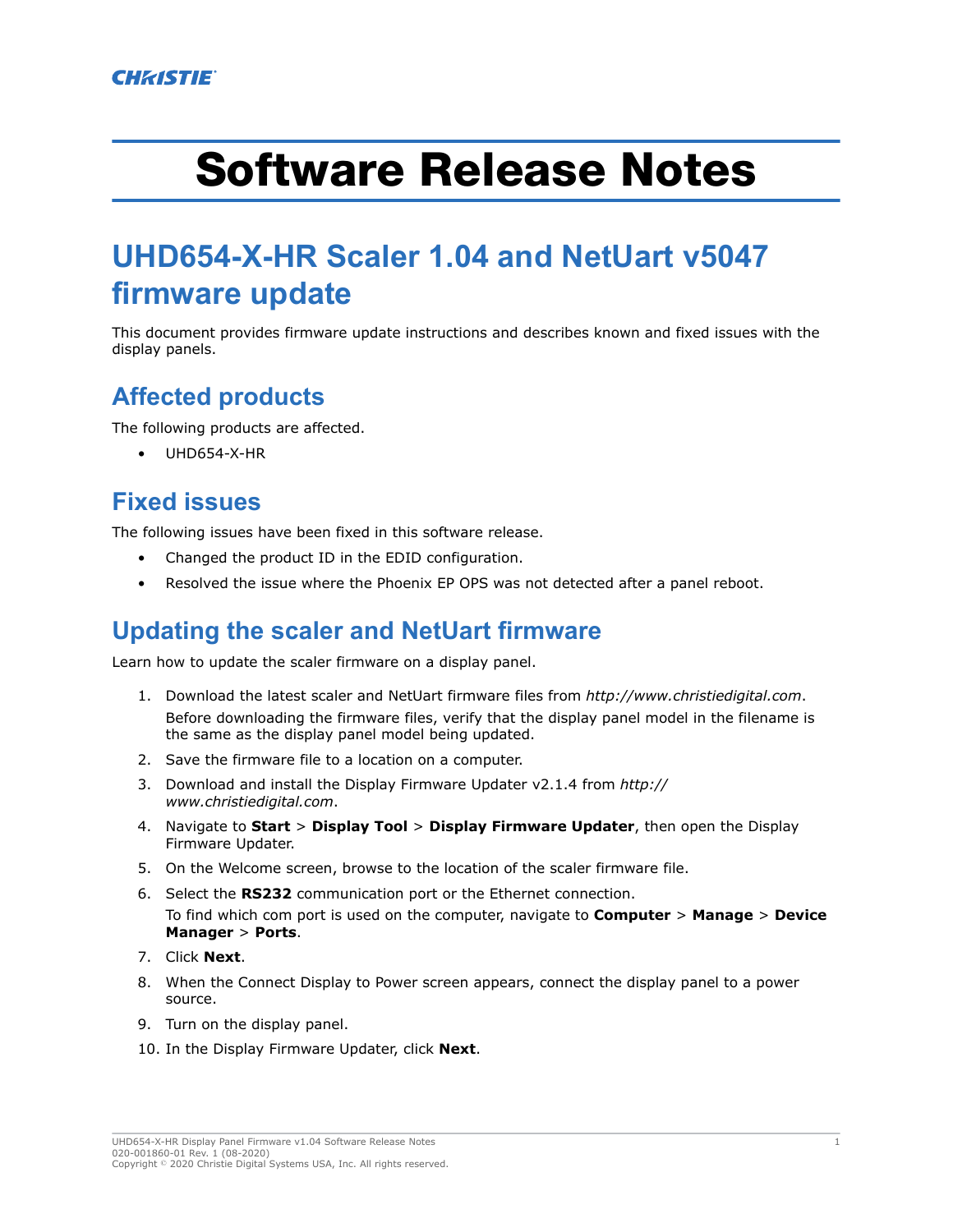# Software Release Notes

# **UHD654-X-HR Scaler 1.04 and NetUart v5047 firmware update**

This document provides firmware update instructions and describes known and fixed issues with the display panels.

# **Affected products**

The following products are affected.

• UHD654-X-HR

# **Fixed issues**

The following issues have been fixed in this software release.

- Changed the product ID in the EDID configuration.
- Resolved the issue where the Phoenix EP OPS was not detected after a panel reboot.

#### **Updating the scaler and NetUart firmware**

Learn how to update the scaler firmware on a display panel.

- 1. Download the latest scaler and NetUart firmware files from *<http://www.christiedigital.com>*. Before downloading the firmware files, verify that the display panel model in the filename is the same as the display panel model being updated.
- 2. Save the firmware file to a location on a computer.
- 3. Download and install the Display Firmware Updater v2.1.4 from *[http://](http://www.christiedigital.com) [www.christiedigital.com](http://www.christiedigital.com)*.
- 4. Navigate to **Start** > **Display Tool** > **Display Firmware Updater**, then open the Display Firmware Updater.
- 5. On the Welcome screen, browse to the location of the scaler firmware file.
- 6. Select the **RS232** communication port or the Ethernet connection. To find which com port is used on the computer, navigate to **Computer** > **Manage** > **Device Manager** > **Ports**.
- 7. Click **Next**.
- 8. When the Connect Display to Power screen appears, connect the display panel to a power source.
- 9. Turn on the display panel.
- 10. In the Display Firmware Updater, click **Next**.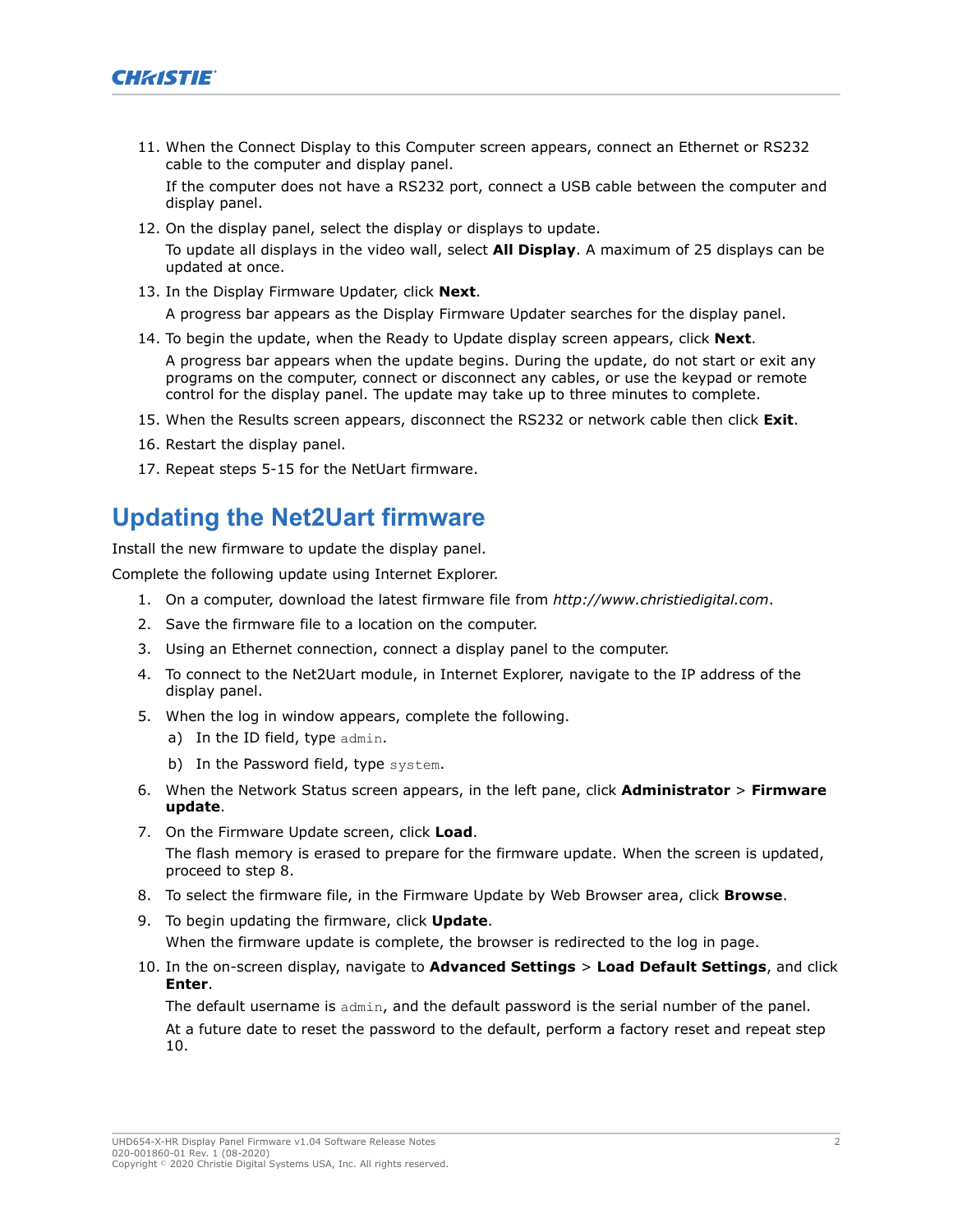

11. When the Connect Display to this Computer screen appears, connect an Ethernet or RS232 cable to the computer and display panel.

If the computer does not have a RS232 port, connect a USB cable between the computer and display panel.

12. On the display panel, select the display or displays to update.

To update all displays in the video wall, select **All Display**. A maximum of 25 displays can be updated at once.

- 13. In the Display Firmware Updater, click **Next**. A progress bar appears as the Display Firmware Updater searches for the display panel.
- 14. To begin the update, when the Ready to Update display screen appears, click **Next**. A progress bar appears when the update begins. During the update, do not start or exit any programs on the computer, connect or disconnect any cables, or use the keypad or remote control for the display panel. The update may take up to three minutes to complete.
- 15. When the Results screen appears, disconnect the RS232 or network cable then click **Exit**.
- 16. Restart the display panel.
- 17. Repeat steps 5-15 for the NetUart firmware.

#### **Updating the Net2Uart firmware**

Install the new firmware to update the display panel.

Complete the following update using Internet Explorer.

- 1. On a computer, download the latest firmware file from *<http://www.christiedigital.com>*.
- 2. Save the firmware file to a location on the computer.
- 3. Using an Ethernet connection, connect a display panel to the computer.
- 4. To connect to the Net2Uart module, in Internet Explorer, navigate to the IP address of the display panel.
- 5. When the log in window appears, complete the following.
	- a) In the ID field, type admin.
	- b) In the Password field, type system.
- 6. When the Network Status screen appears, in the left pane, click **Administrator** > **Firmware update**.
- 7. On the Firmware Update screen, click **Load**. The flash memory is erased to prepare for the firmware update. When the screen is updated, proceed to step 8.
- 8. To select the firmware file, in the Firmware Update by Web Browser area, click **Browse**.
- 9. To begin updating the firmware, click **Update**. When the firmware update is complete, the browser is redirected to the log in page.
- 10. In the on-screen display, navigate to **Advanced Settings** > **Load Default Settings**, and click **Enter**.

The default username is admin, and the default password is the serial number of the panel. At a future date to reset the password to the default, perform a factory reset and repeat step 10.